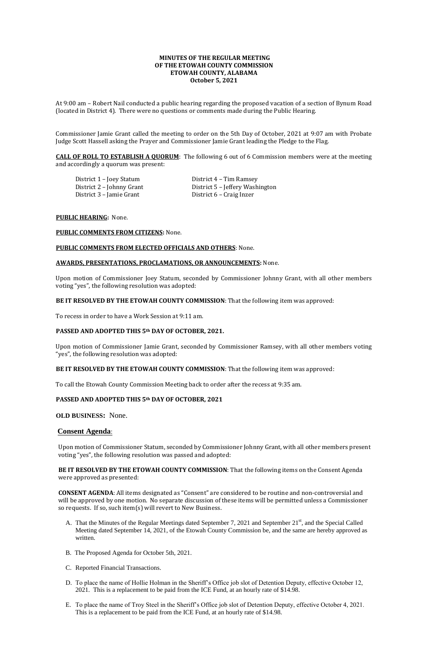# **MINUTES OF THE REGULAR MEETING OF THE ETOWAH COUNTY COMMISSION ETOWAH COUNTY, ALABAMA October 5, 2021**

At 9:00 am – Robert Nail conducted a public hearing regarding the proposed vacation of a section of Bynum Road (located in District 4). There were no questions or comments made during the Public Hearing.

District 1 – Joey Statum District 4 – Tim Ramsey District 3 – Jamie Grant District 6 – Craig Inzer

District 2 – Johnny Grant District 5 – Jeffery Washington

Commissioner Jamie Grant called the meeting to order on the 5th Day of October, 2021 at 9:07 am with Probate Judge Scott Hassell asking the Prayer and Commissioner Jamie Grant leading the Pledge to the Flag.

**CALL OF ROLL TO ESTABLISH A QUORUM**: The following 6 out of 6 Commission members were at the meeting and accordingly a quorum was present:

## **PUBLIC HEARING:** None.

## **PUBLIC COMMENTS FROM CITIZENS:** None.

## **PUBLIC COMMENTS FROM ELECTED OFFICIALS AND OTHERS**: None.

## **AWARDS, PRESENTATIONS, PROCLAMATIONS, OR ANNOUNCEMENTS:** None.

Upon motion of Commissioner Joey Statum, seconded by Commissioner Johnny Grant, with all other members voting "yes", the following resolution was adopted:

# **BE IT RESOLVED BY THE ETOWAH COUNTY COMMISSION**: That the following item was approved:

To recess in order to have a Work Session at 9:11 am.

# **PASSED AND ADOPTED THIS 5th DAY OF OCTOBER, 2021.**

Upon motion of Commissioner Jamie Grant, seconded by Commissioner Ramsey, with all other members voting "yes", the following resolution was adopted:

- A. That the Minutes of the Regular Meetings dated September 7, 2021 and September 21<sup>st</sup>, and the Special Called Meeting dated September 14, 2021, of the Etowah County Commission be, and the same are hereby approved as written.
- B. The Proposed Agenda for October 5th, 2021.
- C. Reported Financial Transactions.
- D. To place the name of Hollie Holman in the Sheriff's Office job slot of Detention Deputy, effective October 12, 2021. This is a replacement to be paid from the ICE Fund, at an hourly rate of \$14.98.
- E. To place the name of Troy Steel in the Sheriff's Office job slot of Detention Deputy, effective October 4, 2021. This is a replacement to be paid from the ICE Fund, at an hourly rate of \$14.98.

## **BE IT RESOLVED BY THE ETOWAH COUNTY COMMISSION**: That the following item was approved:

To call the Etowah County Commission Meeting back to order after the recess at 9:35 am.

# **PASSED AND ADOPTED THIS 5th DAY OF OCTOBER, 2021**

**OLD BUSINESS:** None.

# **Consent Agenda**:

Upon motion of Commissioner Statum, seconded by Commissioner Johnny Grant, with all other members present voting "yes", the following resolution was passed and adopted:

**BE IT RESOLVED BY THE ETOWAH COUNTY COMMISSION**: That the following items on the Consent Agenda were approved as presented:

**CONSENT AGENDA**: All items designated as "Consent" are considered to be routine and non-controversial and will be approved by one motion. No separate discussion of these items will be permitted unless a Commissioner so requests. If so, such item(s) will revert to New Business.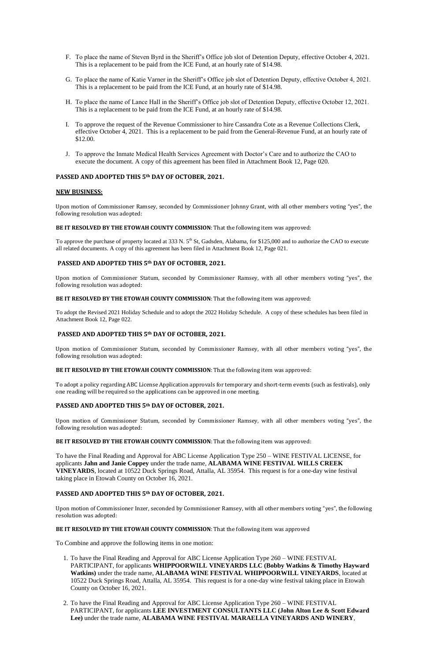- F. To place the name of Steven Byrd in the Sheriff's Office job slot of Detention Deputy, effective October 4, 2021. This is a replacement to be paid from the ICE Fund, at an hourly rate of \$14.98.
- G. To place the name of Katie Varner in the Sheriff's Office job slot of Detention Deputy, effective October 4, 2021. This is a replacement to be paid from the ICE Fund, at an hourly rate of \$14.98.
- H. To place the name of Lance Hall in the Sheriff's Office job slot of Detention Deputy, effective October 12, 2021. This is a replacement to be paid from the ICE Fund, at an hourly rate of \$14.98.
- I. To approve the request of the Revenue Commissioner to hire Cassandra Cote as a Revenue Collections Clerk, effective October 4, 2021. This is a replacement to be paid from the General-Revenue Fund, at an hourly rate of \$12.00.
- J. To approve the Inmate Medical Health Services Agreement with Doctor's Care and to authorize the CAO to execute the document. A copy of this agreement has been filed in Attachment Book 12, Page 020.

To approve the purchase of property located at 333 N. 5<sup>th</sup> St, Gadsden, Alabama, for \$125,000 and to authorize the CAO to execute all related documents. A copy of this agreement has been filed in Attachment Book 12, Page 021.

## **PASSED AND ADOPTED THIS 5th DAY OF OCTOBER, 2021.**

### **NEW BUSINESS:**

Upon motion of Commissioner Ramsey, seconded by Commissioner Johnny Grant, with all other members voting "yes", the following resolution was adopted:

### **BE IT RESOLVED BY THE ETOWAH COUNTY COMMISSION**: That the following item was approved:

## **PASSED AND ADOPTED THIS 5th DAY OF OCTOBER, 2021.**

Upon motion of Commissioner Statum, seconded by Commissioner Ramsey, with all other members voting "yes", the following resolution was adopted:

**BE IT RESOLVED BY THE ETOWAH COUNTY COMMISSION**: That the following item was approved:

To adopt the Revised 2021 Holiday Schedule and to adopt the 2022 Holiday Schedule. A copy of these schedules has been filed in Attachment Book 12, Page 022.

## **PASSED AND ADOPTED THIS 5th DAY OF OCTOBER, 2021.**

Upon motion of Commissioner Statum, seconded by Commissioner Ramsey, with all other members voting "yes", the following resolution was adopted:

**BE IT RESOLVED BY THE ETOWAH COUNTY COMMISSION**: That the following item was approved:

To adopt a policy regarding ABC License Application approvals for temporary and short-term events (such as festivals), only one reading will be required so the applications can be approved in one meeting.

## **PASSED AND ADOPTED THIS 5th DAY OF OCTOBER, 2021.**

Upon motion of Commissioner Statum, seconded by Commissioner Ramsey, with all other members voting "yes", the following resolution was adopted:

**BE IT RESOLVED BY THE ETOWAH COUNTY COMMISSION**: That the following item was approved:

To have the Final Reading and Approval for ABC License Application Type 250 – WINE FESTIVAL LICENSE, for applicants **Jahn and Janie Coppey** under the trade name, **ALABAMA WINE FESTIVAL WILLS CREEK VINEYARDS**, located at 10522 Duck Springs Road, Attalla, AL 35954. This request is for a one-day wine festival taking place in Etowah County on October 16, 2021.

# **PASSED AND ADOPTED THIS 5th DAY OF OCTOBER, 2021.**

Upon motion of Commissioner Inzer, seconded by Commissioner Ramsey, with all other members voting "yes", the following resolution was adopted:

# **BE IT RESOLVED BY THE ETOWAH COUNTY COMMISSION**: That the following item was approved

To Combine and approve the following items in one motion:

- 1. To have the Final Reading and Approval for ABC License Application Type 260 WINE FESTIVAL PARTICIPANT, for applicants **WHIPPOORWILL VINEYARDS LLC (Bobby Watkins & Timothy Hayward Watkins)** under the trade name, **ALABAMA WINE FESTIVAL WHIPPOORWILL VINEYARDS**, located at 10522 Duck Springs Road, Attalla, AL 35954. This request is for a one-day wine festival taking place in Etowah County on October 16, 2021.
- 2. To have the Final Reading and Approval for ABC License Application Type 260 WINE FESTIVAL PARTICIPANT, for applicants **LEE INVESTMENT CONSULTANTS LLC (John Alton Lee & Scott Edward Lee)** under the trade name, **ALABAMA WINE FESTIVAL MARAELLA VINEYARDS AND WINERY**,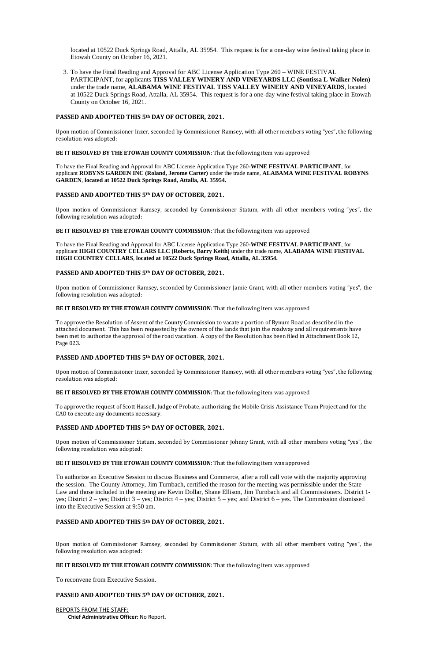located at 10522 Duck Springs Road, Attalla, AL 35954. This request is for a one-day wine festival taking place in Etowah County on October 16, 2021.

3. To have the Final Reading and Approval for ABC License Application Type 260 – WINE FESTIVAL PARTICIPANT, for applicants **TISS VALLEY WINERY AND VINEYARDS LLC (Sontissa L Walker Nolen)** under the trade name, **ALABAMA WINE FESTIVAL TISS VALLEY WINERY AND VINEYARDS**, located at 10522 Duck Springs Road, Attalla, AL 35954. This request is for a one-day wine festival taking place in Etowah County on October 16, 2021.

### **PASSED AND ADOPTED THIS 5th DAY OF OCTOBER, 2021.**

Upon motion of Commissioner Inzer, seconded by Commissioner Ramsey, with all other members voting "yes", the following resolution was adopted:

#### **BE IT RESOLVED BY THE ETOWAH COUNTY COMMISSION**: That the following item was approved

To have the Final Reading and Approval for ABC License Application Type 260-**WINE FESTIVAL PARTICIPANT**, for applicant **ROBYNS GARDEN INC (Roland, Jerome Carter)** under the trade name, **ALABAMA WINE FESTIVAL ROBYNS GARDEN**, **located at 10522 Duck Springs Road, Attalla, AL 35954.** 

### **PASSED AND ADOPTED THIS 5th DAY OF OCTOBER, 2021.**

Upon motion of Commissioner Ramsey, seconded by Commissioner Statum, with all other members voting "yes", the following resolution was adopted:

**BE IT RESOLVED BY THE ETOWAH COUNTY COMMISSION**: That the following item was approved

To have the Final Reading and Approval for ABC License Application Type 260-**WINE FESTIVAL PARTICIPANT**, for applicant **HIGH COUNTRY CELLARS LLC (Roberts, Barry Keith)** under the trade name, **ALABAMA WINE FESTIVAL HIGH COUNTRY CELLARS**, **located at 10522 Duck Springs Road, Attalla, AL 35954.** 

### **PASSED AND ADOPTED THIS 5th DAY OF OCTOBER, 2021.**

Upon motion of Commissioner Ramsey, seconded by Commissioner Jamie Grant, with all other members voting "yes", the following resolution was adopted:

#### **BE IT RESOLVED BY THE ETOWAH COUNTY COMMISSION**: That the following item was approved

To approve the Resolution of Assent of the County Commission to vacate a portion of Bynum Road as described in the attached document. This has been requested by the owners of the lands that join the roadway and all requirements have been met to authorize the approval of the road vacation. A copy of the Resolution has been filed in Attachment Book 12, Page 023.

#### **PASSED AND ADOPTED THIS 5th DAY OF OCTOBER, 2021.**

Upon motion of Commissioner Inzer, seconded by Commissioner Ramsey, with all other members voting "yes", the following resolution was adopted:

#### **BE IT RESOLVED BY THE ETOWAH COUNTY COMMISSION**: That the following item was approved

To approve the request of Scott Hassell, Judge of Probate, authorizing the Mobile Crisis Assistance Team Project and for the CAO to execute any documents necessary.

### **PASSED AND ADOPTED THIS 5th DAY OF OCTOBER, 2021.**

Upon motion of Commissioner Statum, seconded by Commissioner Johnny Grant, with all other members voting "yes", the following resolution was adopted:

#### **BE IT RESOLVED BY THE ETOWAH COUNTY COMMISSION**: That the following item was approved

To authorize an Executive Session to discuss Business and Commerce, after a roll call vote with the majority approving the session. The County Attorney, Jim Turnbach, certified the reason for the meeting was permissible under the State

Law and those included in the meeting are Kevin Dollar, Shane Ellison, Jim Turnbach and all Commissioners. District 1 yes; District 2 – yes; District 3 – yes; District 4 – yes; District 5 – yes; and District 6 – yes. The Commission dismissed into the Executive Session at 9:50 am.

# **PASSED AND ADOPTED THIS 5th DAY OF OCTOBER, 2021.**

Upon motion of Commissioner Ramsey, seconded by Commissioner Statum, with all other members voting "yes", the following resolution was adopted:

### **BE IT RESOLVED BY THE ETOWAH COUNTY COMMISSION**: That the following item was approved

To reconvene from Executive Session.

## **PASSED AND ADOPTED THIS 5th DAY OF OCTOBER, 2021.**

REPORTS FROM THE STAFF:  **Chief Administrative Officer:** No Report.